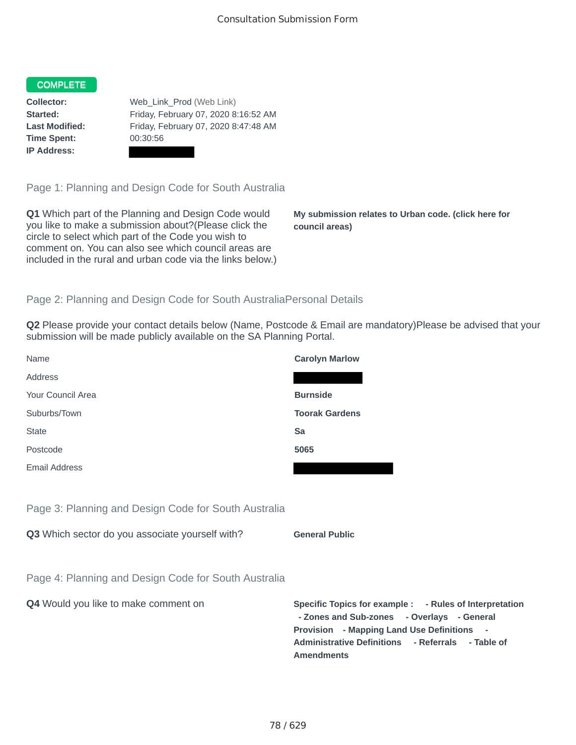## COMPLETE

**Time Spent:** 00:30:56 **IP Address:**

**Collector:** Web\_Link\_Prod (Web Link) **Started:** Friday, February 07, 2020 8:16:52 AM **Last Modified:** Friday, February 07, 2020 8:47:48 AM

Page 1: Planning and Design Code for South Australia

**Q1** Which part of the Planning and Design Code would you like to make a submission about?(Please click the circle to select which part of the Code you wish to comment on. You can also see which council areas are included in the rural and urban code via the links below.)

**My submission relates to Urban code. (click here for council areas)**

# Page 2: Planning and Design Code for South AustraliaPersonal Details

**Q2** Please provide your contact details below (Name, Postcode & Email are mandatory)Please be advised that your submission will be made publicly available on the SA Planning Portal.

| <b>Carolyn Marlow</b>                                                                                                                                                                                                                   |
|-----------------------------------------------------------------------------------------------------------------------------------------------------------------------------------------------------------------------------------------|
|                                                                                                                                                                                                                                         |
| <b>Burnside</b>                                                                                                                                                                                                                         |
| <b>Toorak Gardens</b>                                                                                                                                                                                                                   |
| Sa                                                                                                                                                                                                                                      |
| 5065                                                                                                                                                                                                                                    |
|                                                                                                                                                                                                                                         |
|                                                                                                                                                                                                                                         |
|                                                                                                                                                                                                                                         |
| <b>General Public</b>                                                                                                                                                                                                                   |
|                                                                                                                                                                                                                                         |
|                                                                                                                                                                                                                                         |
| Specific Topics for example : - Rules of Interpretation<br>- Zones and Sub-zones - Overlays - General<br>Provision - Mapping Land Use Definitions -<br><b>Administrative Definitions</b><br>- Referrals - Table of<br><b>Amendments</b> |
|                                                                                                                                                                                                                                         |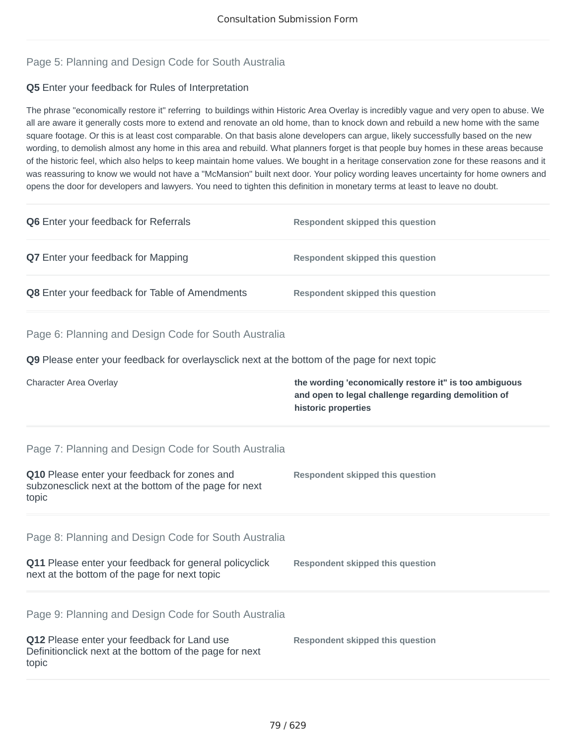# Page 5: Planning and Design Code for South Australia

# **Q5** Enter your feedback for Rules of Interpretation

The phrase "economically restore it" referring to buildings within Historic Area Overlay is incredibly vague and very open to abuse. We all are aware it generally costs more to extend and renovate an old home, than to knock down and rebuild a new home with the same square footage. Or this is at least cost comparable. On that basis alone developers can argue, likely successfully based on the new wording, to demolish almost any home in this area and rebuild. What planners forget is that people buy homes in these areas because of the historic feel, which also helps to keep maintain home values. We bought in a heritage conservation zone for these reasons and it was reassuring to know we would not have a "McMansion" built next door. Your policy wording leaves uncertainty for home owners and opens the door for developers and lawyers. You need to tighten this definition in monetary terms at least to leave no doubt.

| Q6 Enter your feedback for Referrals                                                                                                                                    | <b>Respondent skipped this question</b>                                                                                              |
|-------------------------------------------------------------------------------------------------------------------------------------------------------------------------|--------------------------------------------------------------------------------------------------------------------------------------|
| Q7 Enter your feedback for Mapping                                                                                                                                      | <b>Respondent skipped this question</b>                                                                                              |
| Q8 Enter your feedback for Table of Amendments                                                                                                                          | <b>Respondent skipped this question</b>                                                                                              |
| Page 6: Planning and Design Code for South Australia                                                                                                                    |                                                                                                                                      |
| <b>Q9</b> Please enter your feedback for overlaysclick next at the bottom of the page for next topic                                                                    |                                                                                                                                      |
| Character Area Overlay                                                                                                                                                  | the wording 'economically restore it" is too ambiguous<br>and open to legal challenge regarding demolition of<br>historic properties |
| Page 7: Planning and Design Code for South Australia<br>Q10 Please enter your feedback for zones and<br>subzonesclick next at the bottom of the page for next<br>topic  | <b>Respondent skipped this question</b>                                                                                              |
| Page 8: Planning and Design Code for South Australia<br>Q11 Please enter your feedback for general policyclick<br>next at the bottom of the page for next topic         | <b>Respondent skipped this question</b>                                                                                              |
| Page 9: Planning and Design Code for South Australia<br>Q12 Please enter your feedback for Land use<br>Definitionclick next at the bottom of the page for next<br>topic | <b>Respondent skipped this question</b>                                                                                              |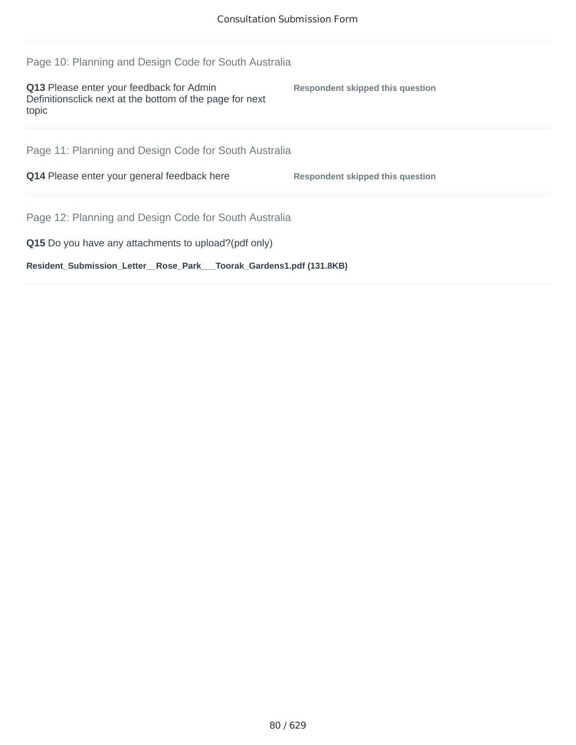| Page 10: Planning and Design Code for South Australia                                                                 |                                  |
|-----------------------------------------------------------------------------------------------------------------------|----------------------------------|
| <b>Q13</b> Please enter your feedback for Admin<br>Definitions click next at the bottom of the page for next<br>topic | Respondent skipped this question |
| Page 11: Planning and Design Code for South Australia                                                                 |                                  |
|                                                                                                                       |                                  |
| Q14 Please enter your general feedback here                                                                           | Respondent skipped this question |
| Page 12: Planning and Design Code for South Australia                                                                 |                                  |
| Q15 Do you have any attachments to upload?(pdf only)                                                                  |                                  |